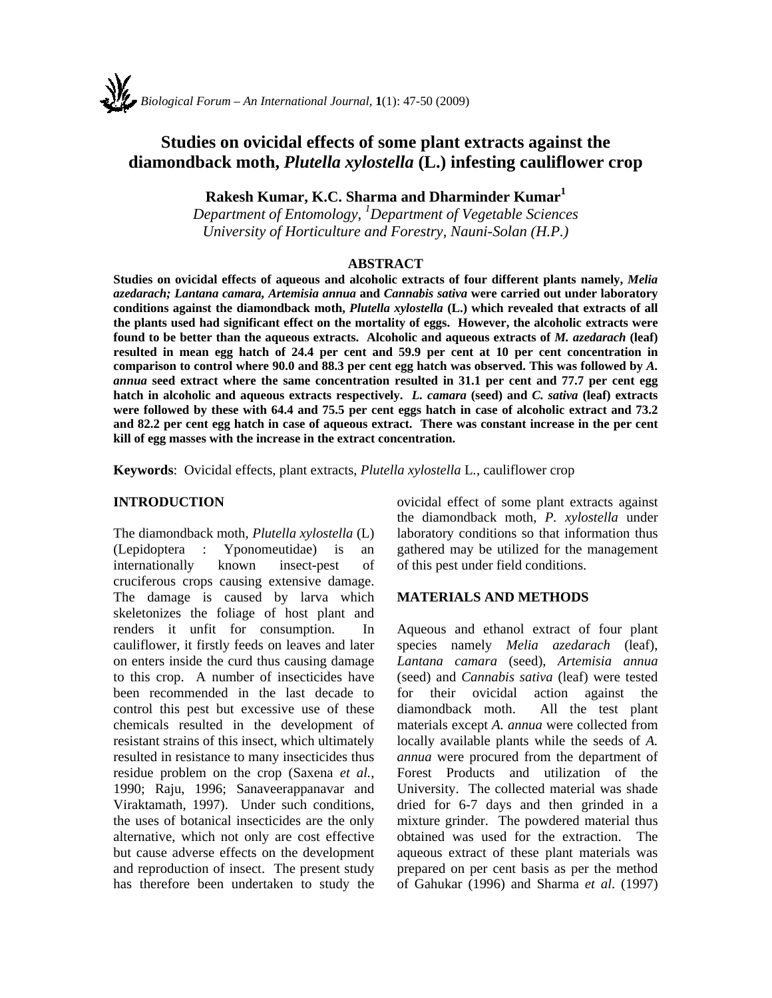# **Studies on ovicidal effects of some plant extracts against the diamondback moth,** *Plutella xylostella* **(L.) infesting cauliflower crop**

**Rakesh Kumar, K.C. Sharma and Dharminder Kumar<sup>1</sup>**

*Department of Entomology, 1 Department of Vegetable Sciences University of Horticulture and Forestry, Nauni-Solan (H.P.)* 

#### **ABSTRACT**

**Studies on ovicidal effects of aqueous and alcoholic extracts of four different plants namely,** *Melia azedarach; Lantana camara, Artemisia annua* **and** *Cannabis sativa* **were carried out under laboratory conditions against the diamondback moth,** *Plutella xylostella* **(L.) which revealed that extracts of all the plants used had significant effect on the mortality of eggs. However, the alcoholic extracts were found to be better than the aqueous extracts. Alcoholic and aqueous extracts of** *M. azedarach* **(leaf) resulted in mean egg hatch of 24.4 per cent and 59.9 per cent at 10 per cent concentration in comparison to control where 90.0 and 88.3 per cent egg hatch was observed. This was followed by** *A. annua* **seed extract where the same concentration resulted in 31.1 per cent and 77.7 per cent egg hatch in alcoholic and aqueous extracts respectively.** *L. camara* **(seed) and** *C. sativa* **(leaf) extracts were followed by these with 64.4 and 75.5 per cent eggs hatch in case of alcoholic extract and 73.2 and 82.2 per cent egg hatch in case of aqueous extract. There was constant increase in the per cent kill of egg masses with the increase in the extract concentration.** 

**Keywords**: Ovicidal effects, plant extracts, *Plutella xylostella* L*.,* cauliflower crop

#### **INTRODUCTION**

The diamondback moth, *Plutella xylostella* (L) (Lepidoptera : Yponomeutidae) is an internationally known insect-pest of cruciferous crops causing extensive damage. The damage is caused by larva which skeletonizes the foliage of host plant and renders it unfit for consumption. In cauliflower, it firstly feeds on leaves and later on enters inside the curd thus causing damage to this crop. A number of insecticides have been recommended in the last decade to control this pest but excessive use of these chemicals resulted in the development of resistant strains of this insect, which ultimately resulted in resistance to many insecticides thus residue problem on the crop (Saxena *et al.*, 1990; Raju, 1996; Sanaveerappanavar and Viraktamath, 1997). Under such conditions, the uses of botanical insecticides are the only alternative, which not only are cost effective but cause adverse effects on the development and reproduction of insect. The present study has therefore been undertaken to study the

ovicidal effect of some plant extracts against the diamondback moth, *P. xylostella* under laboratory conditions so that information thus gathered may be utilized for the management of this pest under field conditions.

### **MATERIALS AND METHODS**

Aqueous and ethanol extract of four plant species namely *Melia azedarach* (leaf), *Lantana camara* (seed), *Artemisia annua*  (seed) and *Cannabis sativa* (leaf) were tested for their ovicidal action against the diamondback moth. All the test plant materials except *A. annua* were collected from locally available plants while the seeds of *A. annua* were procured from the department of Forest Products and utilization of the University. The collected material was shade dried for 6-7 days and then grinded in a mixture grinder. The powdered material thus obtained was used for the extraction. The aqueous extract of these plant materials was prepared on per cent basis as per the method of Gahukar (1996) and Sharma *et al*. (1997)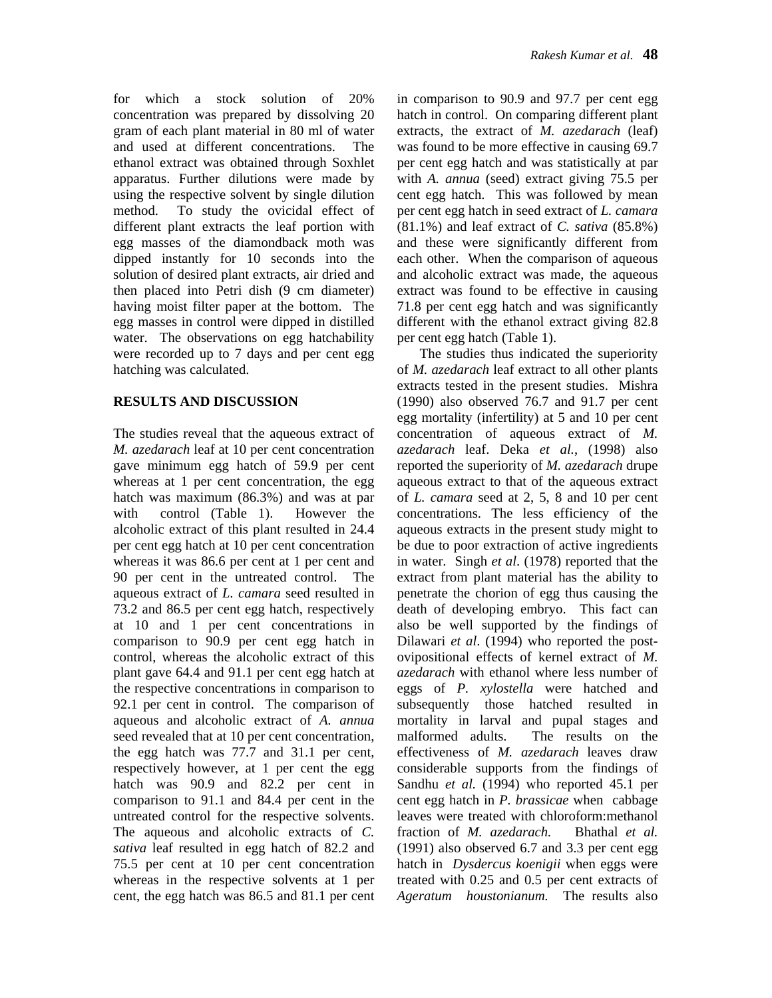for which a stock solution of 20% concentration was prepared by dissolving 20 gram of each plant material in 80 ml of water and used at different concentrations. The ethanol extract was obtained through Soxhlet apparatus. Further dilutions were made by using the respective solvent by single dilution method. To study the ovicidal effect of different plant extracts the leaf portion with egg masses of the diamondback moth was dipped instantly for 10 seconds into the solution of desired plant extracts, air dried and then placed into Petri dish (9 cm diameter) having moist filter paper at the bottom. The egg masses in control were dipped in distilled water. The observations on egg hatchability were recorded up to 7 days and per cent egg hatching was calculated.

## **RESULTS AND DISCUSSION**

The studies reveal that the aqueous extract of *M. azedarach* leaf at 10 per cent concentration gave minimum egg hatch of 59.9 per cent whereas at 1 per cent concentration, the egg hatch was maximum (86.3%) and was at par with control (Table 1). However the alcoholic extract of this plant resulted in 24.4 per cent egg hatch at 10 per cent concentration whereas it was 86.6 per cent at 1 per cent and 90 per cent in the untreated control. The aqueous extract of *L. camara* seed resulted in 73.2 and 86.5 per cent egg hatch, respectively at 10 and 1 per cent concentrations in comparison to 90.9 per cent egg hatch in control, whereas the alcoholic extract of this plant gave 64.4 and 91.1 per cent egg hatch at the respective concentrations in comparison to 92.1 per cent in control. The comparison of aqueous and alcoholic extract of *A. annua*  seed revealed that at 10 per cent concentration, the egg hatch was 77.7 and 31.1 per cent, respectively however, at 1 per cent the egg hatch was 90.9 and 82.2 per cent in comparison to 91.1 and 84.4 per cent in the untreated control for the respective solvents. The aqueous and alcoholic extracts of *C. sativa* leaf resulted in egg hatch of 82.2 and 75.5 per cent at 10 per cent concentration whereas in the respective solvents at 1 per cent, the egg hatch was 86.5 and 81.1 per cent in comparison to 90.9 and 97.7 per cent egg hatch in control. On comparing different plant extracts, the extract of *M. azedarach* (leaf) was found to be more effective in causing 69.7 per cent egg hatch and was statistically at par with *A. annua* (seed) extract giving 75.5 per cent egg hatch. This was followed by mean per cent egg hatch in seed extract of *L. camara*  (81.1%) and leaf extract of *C. sativa* (85.8%) and these were significantly different from each other. When the comparison of aqueous and alcoholic extract was made, the aqueous extract was found to be effective in causing 71.8 per cent egg hatch and was significantly different with the ethanol extract giving 82.8 per cent egg hatch (Table 1).

The studies thus indicated the superiority of *M. azedarach* leaf extract to all other plants extracts tested in the present studies. Mishra (1990) also observed 76.7 and 91.7 per cent egg mortality (infertility) at 5 and 10 per cent concentration of aqueous extract of *M. azedarach* leaf. Deka *et al.*, (1998) also reported the superiority of *M. azedarach* drupe aqueous extract to that of the aqueous extract of *L. camara* seed at 2, 5, 8 and 10 per cent concentrations. The less efficiency of the aqueous extracts in the present study might to be due to poor extraction of active ingredients in water. Singh *et al*. (1978) reported that the extract from plant material has the ability to penetrate the chorion of egg thus causing the death of developing embryo. This fact can also be well supported by the findings of Dilawari *et al*. (1994) who reported the postovipositional effects of kernel extract of *M. azedarach* with ethanol where less number of eggs of *P. xylostella* were hatched and subsequently those hatched resulted in mortality in larval and pupal stages and malformed adults. The results on the effectiveness of *M. azedarach* leaves draw considerable supports from the findings of Sandhu *et al.* (1994) who reported 45.1 per cent egg hatch in *P. brassicae* when cabbage leaves were treated with chloroform:methanol fraction of *M. azedarach.* Bhathal *et al.*  (1991) also observed 6.7 and 3.3 per cent egg hatch in *Dysdercus koenigii* when eggs were treated with 0.25 and 0.5 per cent extracts of *Ageratum houstonianum.* The results also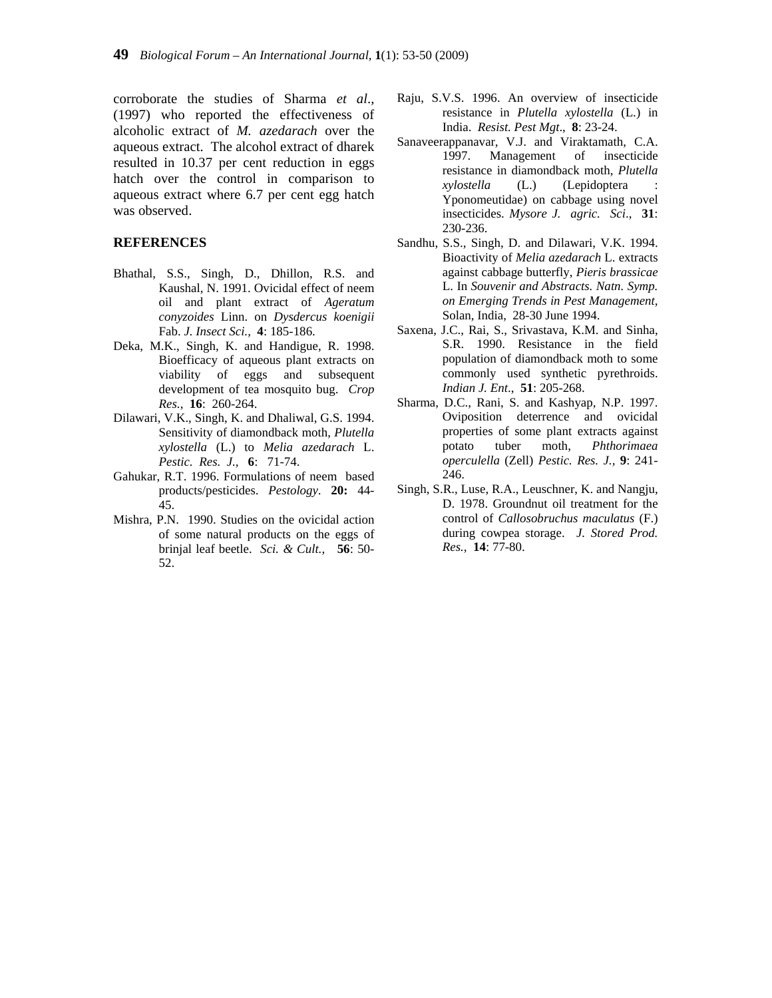corroborate the studies of Sharma *et al*., (1997) who reported the effectiveness of alcoholic extract of *M. azedarach* over the aqueous extract. The alcohol extract of dharek resulted in 10.37 per cent reduction in eggs hatch over the control in comparison to aqueous extract where 6.7 per cent egg hatch was observed.

#### **REFERENCES**

- Bhathal, S.S., Singh, D., Dhillon, R.S. and Kaushal, N. 1991. Ovicidal effect of neem oil and plant extract of *Ageratum conyzoides* Linn. on *Dysdercus koenigii* Fab. *J. Insect Sci.,* **4**: 185-186.
- Deka, M.K., Singh, K. and Handigue, R. 1998. Bioefficacy of aqueous plant extracts on viability of eggs and subsequent development of tea mosquito bug. *Crop Res.*, **16**: 260-264.
- Dilawari, V.K., Singh, K. and Dhaliwal, G.S. 1994. Sensitivity of diamondback moth, *Plutella xylostella* (L.) to *Melia azedarach* L. *Pestic. Res. J.,* **6**:71-74.
- Gahukar, R.T. 1996. Formulations of neem based products/pesticides. *Pestology*. **20:** 44- 45.
- Mishra, P.N. 1990. Studies on the ovicidal action of some natural products on the eggs of brinjal leaf beetle. *Sci. & Cult.,* **56**: 50- 52.
- Raju, S.V.S. 1996. An overview of insecticide resistance in *Plutella xylostella* (L.) in India. *Resist. Pest Mgt*., **8**: 23-24.
- Sanaveerappanavar, V.J. and Viraktamath, C.A. 1997. Management of insecticide resistance in diamondback moth, *Plutella xylostella* (L.) (Lepidoptera : Yponomeutidae) on cabbage using novel insecticides. *Mysore J. agric. Sci*., **31**: 230-236.
- Sandhu, S.S., Singh, D. and Dilawari, V.K. 1994. Bioactivity of *Melia azedarach* L. extracts against cabbage butterfly, *Pieris brassicae* L. In *Souvenir and Abstracts. Natn. Symp. on Emerging Trends in Pest Management,* Solan, India, 28-30 June 1994.
- Saxena, J.C., Rai, S., Srivastava, K.M. and Sinha, S.R. 1990. Resistance in the field population of diamondback moth to some commonly used synthetic pyrethroids. *Indian J. Ent*., **51**: 205-268.
- Sharma, D.C., Rani, S. and Kashyap, N.P. 1997. Oviposition deterrence and ovicidal properties of some plant extracts against potato tuber moth, *Phthorimaea operculella* (Zell) *Pestic. Res. J.,* **9**: 241- 246.
- Singh, S.R., Luse, R.A., Leuschner, K. and Nangju, D. 1978. Groundnut oil treatment for the control of *Callosobruchus maculatus* (F.) during cowpea storage. *J. Stored Prod. Res.,* **14**: 77-80.